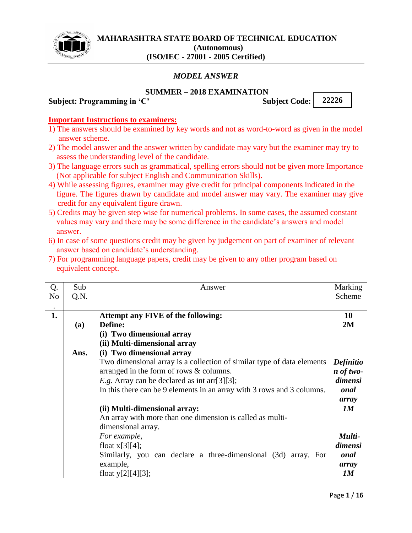

### *MODEL ANSWER*

### **SUMMER – 2018 EXAMINATION**

#### Subject: Programming in 'C' Subject Code:

**22226**

### **Important Instructions to examiners:**

- 1) The answers should be examined by key words and not as word-to-word as given in the model answer scheme.
- 2) The model answer and the answer written by candidate may vary but the examiner may try to assess the understanding level of the candidate.
- 3) The language errors such as grammatical, spelling errors should not be given more Importance (Not applicable for subject English and Communication Skills).
- 4) While assessing figures, examiner may give credit for principal components indicated in the figure. The figures drawn by candidate and model answer may vary. The examiner may give credit for any equivalent figure drawn.
- 5) Credits may be given step wise for numerical problems. In some cases, the assumed constant values may vary and there may be some difference in the candidate"s answers and model answer.
- 6) In case of some questions credit may be given by judgement on part of examiner of relevant answer based on candidate"s understanding.
- 7) For programming language papers, credit may be given to any other program based on equivalent concept.

| Q.              | Sub  | Answer                                                                 | Marking          |  |
|-----------------|------|------------------------------------------------------------------------|------------------|--|
| N <sub>o</sub>  | Q.N. |                                                                        | Scheme           |  |
| $\bullet$<br>1. |      | Attempt any FIVE of the following:                                     | <b>10</b>        |  |
|                 | (a)  | Define:                                                                | 2M               |  |
|                 |      | (i) Two dimensional array                                              |                  |  |
|                 |      | (ii) Multi-dimensional array                                           |                  |  |
|                 | Ans. | (i) Two dimensional array                                              |                  |  |
|                 |      | Two dimensional array is a collection of similar type of data elements | <b>Definitio</b> |  |
|                 |      | arranged in the form of rows $&$ columns.                              |                  |  |
|                 |      | <i>E.g.</i> Array can be declared as int arr[3][3];                    | dimensi          |  |
|                 |      | In this there can be 9 elements in an array with 3 rows and 3 columns. | onal             |  |
|                 |      |                                                                        | array            |  |
|                 |      | (ii) Multi-dimensional array:                                          | 1M               |  |
|                 |      | An array with more than one dimension is called as multi-              |                  |  |
|                 |      | dimensional array.                                                     |                  |  |
|                 |      | For example,                                                           | Multi-           |  |
|                 |      | float $x[3][4]$ ;                                                      | dimensi          |  |
|                 |      | Similarly, you can declare a three-dimensional (3d) array. For         | onal             |  |
|                 |      | example,                                                               | array            |  |
|                 |      | float $y[2][4][3]$ ;                                                   | 1M               |  |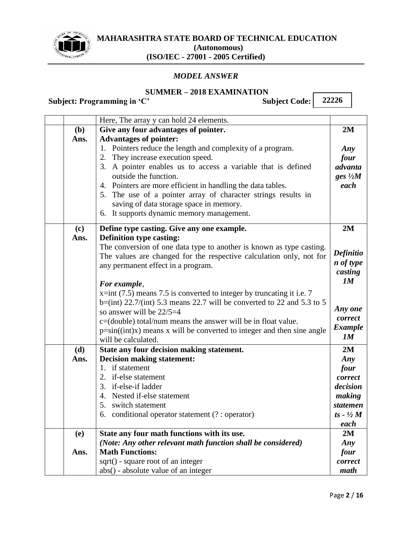

 $\mathsf{r}$ 

### **MAHARASHTRA STATE BOARD OF TECHNICAL EDUCATION (Autonomous) (ISO/IEC - 27001 - 2005 Certified)**

#### *MODEL ANSWER*

# **SUMMER – 2018 EXAMINATION**<br>
C' **Subject Code:**

**Subject: Programming in 'C'** 

**22226**

 $\overline{\phantom{0}}$ 

|      | Here, The array y can hold 24 elements.                                  |                              |
|------|--------------------------------------------------------------------------|------------------------------|
| (b)  | Give any four advantages of pointer.                                     | 2M                           |
| Ans. | <b>Advantages of pointer:</b>                                            |                              |
|      | 1. Pointers reduce the length and complexity of a program.               | Any                          |
|      | 2. They increase execution speed.                                        | four                         |
|      | 3. A pointer enables us to access a variable that is defined             | advanta                      |
|      | outside the function.                                                    | ges $\frac{1}{2}M$           |
|      | 4. Pointers are more efficient in handling the data tables.              | each                         |
|      | 5. The use of a pointer array of character strings results in            |                              |
|      | saving of data storage space in memory.                                  |                              |
|      | 6. It supports dynamic memory management.                                |                              |
| (c)  | Define type casting. Give any one example.                               | 2M                           |
| Ans. | <b>Definition type casting:</b>                                          |                              |
|      | The conversion of one data type to another is known as type casting.     | <b>Definitio</b>             |
|      | The values are changed for the respective calculation only, not for      |                              |
|      | any permanent effect in a program.                                       | n of type<br>casting         |
|      |                                                                          | 1M                           |
|      | For example,                                                             |                              |
|      | $x=$ int (7.5) means 7.5 is converted to integer by truncating it i.e. 7 |                              |
|      | b=(int) $22.7/(int)$ 5.3 means 22.7 will be converted to 22 and 5.3 to 5 | Any one                      |
|      | so answer will be $22/5=4$                                               | correct                      |
|      | $c = (double) total/num means the answer will be in float value.$        | <b>Example</b>               |
|      | $p=sin((int)x)$ means x will be converted to integer and then sine angle | 1M                           |
|      | will be calculated.                                                      |                              |
| (d)  | State any four decision making statement.                                | 2M                           |
| Ans. | <b>Decision making statement:</b>                                        | Any                          |
|      | 1. if statement<br>2. if-else statement                                  | four                         |
|      |                                                                          | correct<br>decision          |
|      | 3. if-else-if ladder<br>4. Nested if-else statement                      |                              |
|      | 5. switch statement                                                      | making                       |
|      | 6. conditional operator statement (? : operator)                         | statemen                     |
|      |                                                                          | $ts - \frac{1}{2} M$<br>each |
| (e)  | State any four math functions with its use.                              | 2M                           |
|      | (Note: Any other relevant math function shall be considered)             | Any                          |
| Ans. | <b>Math Functions:</b>                                                   | four                         |
|      | sqrt() - square root of an integer                                       | correct                      |
|      | abs() - absolute value of an integer                                     | math                         |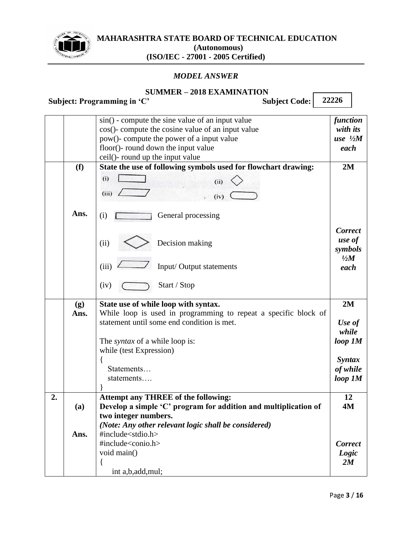

## *MODEL ANSWER*

| <b>SUMMER – 2018 EXAMINATION</b> |
|----------------------------------|
|----------------------------------|

|   |      | Subject: Programming in 'C'<br><b>Subject Code:</b>             | 22226              |
|---|------|-----------------------------------------------------------------|--------------------|
|   |      | sin() - compute the sine value of an input value                | function           |
|   |      | cos()- compute the cosine value of an input value               | with its           |
|   |      | pow()- compute the power of a input value                       | use $\frac{1}{2}M$ |
|   |      | floor()- round down the input value                             | each               |
|   |      | ceil()- round up the input value                                |                    |
|   | (f)  | State the use of following symbols used for flowchart drawing:  | 2M                 |
|   |      | (i)                                                             |                    |
|   |      | (ii)                                                            |                    |
|   |      | (iii)<br>(iv)                                                   |                    |
|   | Ans. | (i)<br>General processing                                       |                    |
|   |      |                                                                 | <b>Correct</b>     |
|   |      | Decision making<br>(ii)                                         | use of             |
|   |      |                                                                 | symbols            |
|   |      |                                                                 | $\frac{1}{2}M$     |
|   |      | Input/Output statements<br>(iii)                                | each               |
|   |      | Start / Stop<br>(iv)                                            |                    |
|   | (g)  | State use of while loop with syntax.                            | 2M                 |
|   | Ans. | While loop is used in programming to repeat a specific block of |                    |
|   |      | statement until some end condition is met.                      | Use of             |
|   |      |                                                                 | while              |
|   |      | The <i>syntax</i> of a while loop is:                           | loop 1M            |
|   |      | while (test Expression)                                         |                    |
|   |      |                                                                 | <b>Syntax</b>      |
|   |      | Statements                                                      | of while           |
|   |      | statements                                                      | loop 1M            |
|   |      |                                                                 |                    |
| 2 |      | <b>Attempt any THREE of the following:</b>                      | 12                 |
|   | (a)  | Develop a simple 'C' program for addition and multiplication of | 4M                 |
|   |      | two integer numbers.                                            |                    |
|   |      | (Note: Any other relevant logic shall be considered)            |                    |
|   | Ans. | #include <stdio.h></stdio.h>                                    |                    |
|   |      | #include <conio.h></conio.h>                                    | <b>Correct</b>     |
|   |      | void main()                                                     | Logic              |
|   |      |                                                                 | 2M                 |
|   |      | int a,b,add,mul;                                                |                    |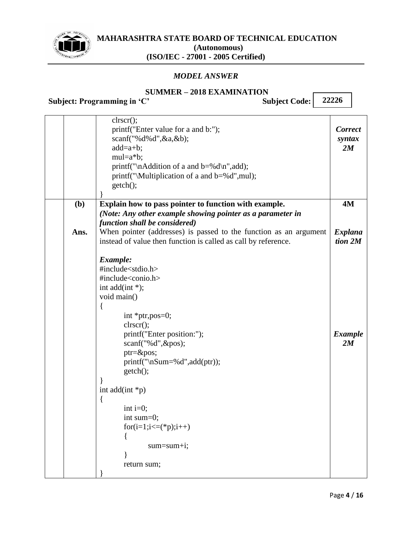

## *MODEL ANSWER*

### **SUMMER – 2018 EXAMINATION Subject: Programming in 'C'**

|      | clrscr();                                                         |                      |
|------|-------------------------------------------------------------------|----------------------|
|      | printf("Enter value for a and b:");                               | <b>Correct</b>       |
|      | scanf("%d%d", $\&a,\&b$ );                                        | syntax               |
|      | $add=a+b;$                                                        | 2M                   |
|      | $mul = a * b;$                                                    |                      |
|      | printf("\nAddition of a and b=%d\n",add);                         |                      |
|      | printf("\Multiplication of a and b=%d",mul);                      |                      |
|      | getch();                                                          |                      |
|      |                                                                   |                      |
| (b)  | Explain how to pass pointer to function with example.             | 4M                   |
|      | (Note: Any other example showing pointer as a parameter in        |                      |
|      | function shall be considered)                                     |                      |
| Ans. | When pointer (addresses) is passed to the function as an argument | <b>Explana</b>       |
|      | instead of value then function is called as call by reference.    | tion 2M              |
|      |                                                                   |                      |
|      | Example:                                                          |                      |
|      | #include <stdio.h></stdio.h>                                      |                      |
|      | #include <conio.h></conio.h>                                      |                      |
|      | int add(int $*$ );                                                |                      |
|      | void main()                                                       |                      |
|      |                                                                   |                      |
|      | ₹<br>int *ptr,pos=0;                                              |                      |
|      | clrscr();                                                         |                      |
|      | printf("Enter position:");                                        |                      |
|      | scanf("%d", &pos);                                                | <b>Example</b><br>2M |
|      |                                                                   |                      |
|      | $ptr = \&pos$                                                     |                      |
|      | $print(f''\n\mathrm{Sum} = %d'', add(pt));$                       |                      |
|      | getch();                                                          |                      |
|      | int add(int $*_{p}$ )                                             |                      |
|      |                                                                   |                      |
|      | {<br>int $i=0$ ;                                                  |                      |
|      | int sum=0;                                                        |                      |
|      | $for(i=1; i<=(*p); i++)$                                          |                      |
|      |                                                                   |                      |
|      | $sum = sum + i;$                                                  |                      |
|      |                                                                   |                      |
|      | return sum;                                                       |                      |
|      |                                                                   |                      |
|      |                                                                   |                      |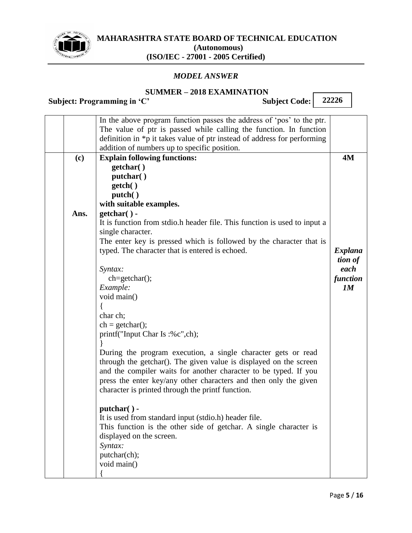

### *MODEL ANSWER*

**SUMMER – 2018 EXAMINATION 22226** Subject Code: 22226

|      | Subject: Programming in 'C'<br><b>Subject Code:</b>                                                                                                                                                                                                                                                                                                                                                                                                                                                                                                                                                                                                                                                                                                                                                                                                                                                                          | 22226                                               |  |
|------|------------------------------------------------------------------------------------------------------------------------------------------------------------------------------------------------------------------------------------------------------------------------------------------------------------------------------------------------------------------------------------------------------------------------------------------------------------------------------------------------------------------------------------------------------------------------------------------------------------------------------------------------------------------------------------------------------------------------------------------------------------------------------------------------------------------------------------------------------------------------------------------------------------------------------|-----------------------------------------------------|--|
|      | In the above program function passes the address of 'pos' to the ptr.<br>The value of ptr is passed while calling the function. In function<br>definition in *p it takes value of ptr instead of address for performing<br>addition of numbers up to specific position.                                                                                                                                                                                                                                                                                                                                                                                                                                                                                                                                                                                                                                                      |                                                     |  |
| (c)  | <b>Explain following functions:</b><br>getchar()<br>putchar()<br>getch()<br>putch()<br>with suitable examples.                                                                                                                                                                                                                                                                                                                                                                                                                                                                                                                                                                                                                                                                                                                                                                                                               | <b>4M</b>                                           |  |
| Ans. | $getchar()$ -<br>It is function from stdio.h header file. This function is used to input a<br>single character.<br>The enter key is pressed which is followed by the character that is<br>typed. The character that is entered is echoed.<br>Syntax:<br>ch=getchar();<br>Example:<br>void main()<br>char ch;<br>$ch = getchar($ ;<br>printf("Input Char Is :%c",ch);<br>During the program execution, a single character gets or read<br>through the getchar(). The given value is displayed on the screen<br>and the compiler waits for another character to be typed. If you<br>press the enter key/any other characters and then only the given<br>character is printed through the printf function.<br>$putchar() -$<br>It is used from standard input (stdio.h) header file.<br>This function is the other side of getchar. A single character is<br>displayed on the screen.<br>Syntax:<br>putchar(ch);<br>void main() | <b>Explana</b><br>tion of<br>each<br>function<br>1M |  |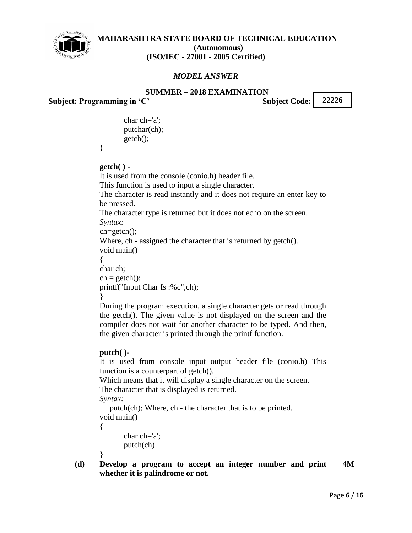

## *MODEL ANSWER*

# **SUMMER – 2018 EXAMINATION**

**Subject: Programming in 'C'** 

|     | char $ch="a$ ;                                                                                                                                                                                                                                                                     |    |
|-----|------------------------------------------------------------------------------------------------------------------------------------------------------------------------------------------------------------------------------------------------------------------------------------|----|
|     | putchar(ch);                                                                                                                                                                                                                                                                       |    |
|     | getch();                                                                                                                                                                                                                                                                           |    |
|     | ∤                                                                                                                                                                                                                                                                                  |    |
|     |                                                                                                                                                                                                                                                                                    |    |
|     | $getch() -$                                                                                                                                                                                                                                                                        |    |
|     | It is used from the console (conio.h) header file.                                                                                                                                                                                                                                 |    |
|     | This function is used to input a single character.                                                                                                                                                                                                                                 |    |
|     | The character is read instantly and it does not require an enter key to<br>be pressed.                                                                                                                                                                                             |    |
|     | The character type is returned but it does not echo on the screen.                                                                                                                                                                                                                 |    |
|     | Syntax:                                                                                                                                                                                                                                                                            |    |
|     | $ch = getch$                                                                                                                                                                                                                                                                       |    |
|     | Where, ch - assigned the character that is returned by getch().<br>void main()                                                                                                                                                                                                     |    |
|     |                                                                                                                                                                                                                                                                                    |    |
|     | char ch;                                                                                                                                                                                                                                                                           |    |
|     | $ch = getch$ );                                                                                                                                                                                                                                                                    |    |
|     | printf("Input Char Is :%c",ch);                                                                                                                                                                                                                                                    |    |
|     |                                                                                                                                                                                                                                                                                    |    |
|     | During the program execution, a single character gets or read through<br>the getch(). The given value is not displayed on the screen and the<br>compiler does not wait for another character to be typed. And then,<br>the given character is printed through the printf function. |    |
|     |                                                                                                                                                                                                                                                                                    |    |
|     | $putch()$ -<br>It is used from console input output header file (conio.h) This<br>function is a counterpart of getch().                                                                                                                                                            |    |
|     | Which means that it will display a single character on the screen.                                                                                                                                                                                                                 |    |
|     | The character that is displayed is returned.                                                                                                                                                                                                                                       |    |
|     | Syntax:                                                                                                                                                                                                                                                                            |    |
|     | putch(ch); Where, ch - the character that is to be printed.                                                                                                                                                                                                                        |    |
|     | void main()                                                                                                                                                                                                                                                                        |    |
|     |                                                                                                                                                                                                                                                                                    |    |
|     | char $ch="a$ :                                                                                                                                                                                                                                                                     |    |
|     | putch(ch)                                                                                                                                                                                                                                                                          |    |
|     |                                                                                                                                                                                                                                                                                    |    |
| (d) | Develop a program to accept an integer number and print<br>whether it is palindrome or not.                                                                                                                                                                                        | 4M |
|     |                                                                                                                                                                                                                                                                                    |    |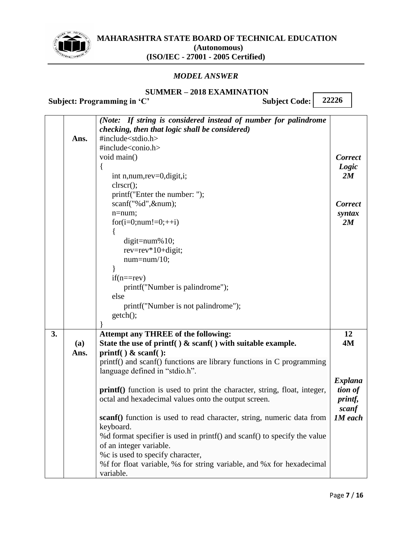

#### *MODEL ANSWER*

| <b>SUMMER – 2018 EXAMINATION</b> |  |  |  |  |
|----------------------------------|--|--|--|--|
|----------------------------------|--|--|--|--|

Subject: Programming in 'C' Subject Code:

**Ans.** *(Note: If string is considered instead of number for palindrome checking, then that logic shall be considered)* #include<stdio.h>  $\#$ include $\lt$ conio.h  $>$ void main() { int n,num,rev=0,digit,i; clrscr(); printf("Enter the number: "); scanf("%d",&num); n=num;  $for(i=0; num != 0;++i)$ { digit=num%10; rev=rev\*10+digit; num=num/10; }  $if(n == rev)$ printf("Number is palindrome"); else printf("Number is not palindrome"); getch(); } *Correct Logic 2M Correct syntax 2M* **3. (a) Ans. Attempt any THREE of the following: State the use of printf( ) & scanf( ) with suitable example. printf( ) & scanf( ):** printf() and scanf() functions are library functions in C programming language defined in "stdio.h". **printf()** function is used to print the character, string, float, integer, octal and hexadecimal values onto the output screen. **scanf()** function is used to read character, string, numeric data from keyboard. %d format specifier is used in printf() and scanf() to specify the value of an integer variable. %c is used to specify character, %f for float variable, %s for string variable, and %x for hexadecimal variable. **12 4M** *Explana tion of printf, scanf 1M each*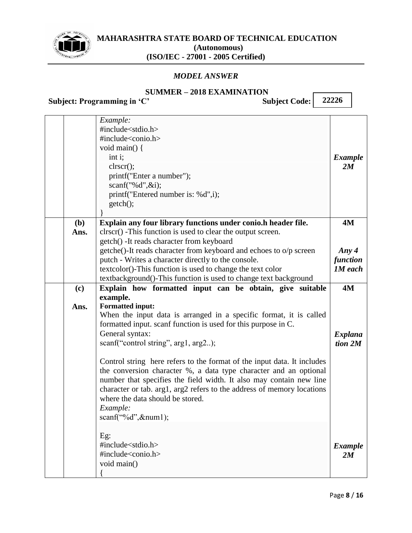

## *MODEL ANSWER*

# **SUMMER – 2018 EXAMINATION**

**Subject: Programming in 'C'** 

|              | Example:<br>#include <stdio.h><br/>#include<conio.h><br/>void main() {<br/>int i;<br/>clrscr();<br/>printf("Enter a number");<br/>scanf("%<math>d</math>", &amp;i);<br/>printf("Entered number is: %d",i);<br/><math>getch()</math>;</conio.h></stdio.h>                                                                                                            | <b>Example</b><br>2M |
|--------------|---------------------------------------------------------------------------------------------------------------------------------------------------------------------------------------------------------------------------------------------------------------------------------------------------------------------------------------------------------------------|----------------------|
| ( <b>b</b> ) | Explain any four library functions under conio.h header file.                                                                                                                                                                                                                                                                                                       | <b>4M</b>            |
| Ans.         | clrscr() -This function is used to clear the output screen.<br>getch() - It reads character from keyboard                                                                                                                                                                                                                                                           |                      |
|              | getche()-It reads character from keyboard and echoes to o/p screen                                                                                                                                                                                                                                                                                                  | Any $4$              |
|              | putch - Writes a character directly to the console.                                                                                                                                                                                                                                                                                                                 | function             |
|              | textcolor()-This function is used to change the text color<br>textbackground()-This function is used to change text background                                                                                                                                                                                                                                      | 1M each              |
| (c)          | Explain how formatted input can be obtain, give suitable                                                                                                                                                                                                                                                                                                            | <b>4M</b>            |
|              | example.                                                                                                                                                                                                                                                                                                                                                            |                      |
| Ans.         | <b>Formatted input:</b><br>When the input data is arranged in a specific format, it is called<br>formatted input. scanf function is used for this purpose in C.<br>General syntax:<br>scanf("control string", arg1, arg2);                                                                                                                                          | Explana<br>tion 2M   |
|              | Control string here refers to the format of the input data. It includes<br>the conversion character %, a data type character and an optional<br>number that specifies the field width. It also may contain new line<br>character or tab. arg1, arg2 refers to the address of memory locations<br>where the data should be stored.<br>Example:<br>scanf("%d",&num1); |                      |
|              | $Eg$ :<br>#include $<$ stdio.h $>$<br>#include <conio.h><br/>void main()</conio.h>                                                                                                                                                                                                                                                                                  | <b>Example</b><br>2M |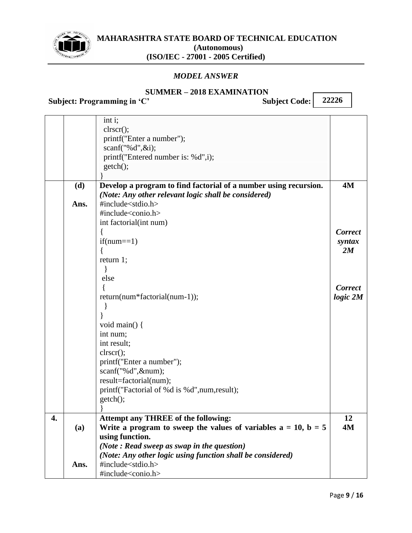

## *MODEL ANSWER*

# **SUMMER – 2018 EXAMINATION**

**Subject: Programming in 'C'** 

|    |      | int i;                                                              |                |
|----|------|---------------------------------------------------------------------|----------------|
|    |      | clrscr();                                                           |                |
|    |      | printf("Enter a number");                                           |                |
|    |      | scanf("%d", $&$ i);                                                 |                |
|    |      | printf("Entered number is: %d",i);                                  |                |
|    |      | getch();                                                            |                |
|    |      |                                                                     |                |
|    | (d)  | Develop a program to find factorial of a number using recursion.    | <b>4M</b>      |
|    |      | (Note: Any other relevant logic shall be considered)                |                |
|    | Ans. | #include <stdio.h></stdio.h>                                        |                |
|    |      | #include <conio.h></conio.h>                                        |                |
|    |      | int factorial(int num)                                              |                |
|    |      |                                                                     | <b>Correct</b> |
|    |      | $if(num==1)$                                                        | syntax         |
|    |      |                                                                     | 2M             |
|    |      | return $1$ ;                                                        |                |
|    |      |                                                                     |                |
|    |      | else                                                                |                |
|    |      |                                                                     | <b>Correct</b> |
|    |      | return(num*factorial(num-1));                                       | $logic\ 2M$    |
|    |      |                                                                     |                |
|    |      |                                                                     |                |
|    |      |                                                                     |                |
|    |      | void main() {                                                       |                |
|    |      | int num;                                                            |                |
|    |      | int result;                                                         |                |
|    |      | clrscr();                                                           |                |
|    |      | printf("Enter a number");                                           |                |
|    |      | scanf("%d", #);                                                     |                |
|    |      | result=factorial(num);                                              |                |
|    |      | printf("Factorial of %d is %d", num, result);                       |                |
|    |      | getch();                                                            |                |
|    |      |                                                                     |                |
| 4. |      | <b>Attempt any THREE of the following:</b>                          | 12             |
|    | (a)  | Write a program to sweep the values of variables $a = 10$ , $b = 5$ | 4M             |
|    |      | using function.                                                     |                |
|    |      | (Note: Read sweep as swap in the question)                          |                |
|    |      | (Note: Any other logic using function shall be considered)          |                |
|    | Ans. | #include <stdio.h></stdio.h>                                        |                |
|    |      | #include <conio.h></conio.h>                                        |                |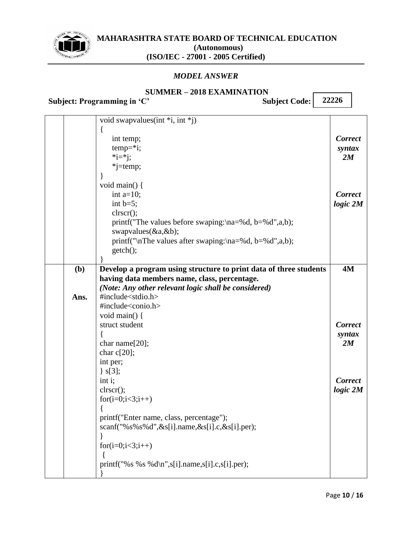

## *MODEL ANSWER*

# **SUMMER – 2018 EXAMINATION**

## **Subject: Programming in 'C'**

|      | void swapvalues(int *i, int *j)                                   |                |
|------|-------------------------------------------------------------------|----------------|
|      |                                                                   |                |
|      | int temp;                                                         | <b>Correct</b> |
|      | $temp="i$ ;                                                       | syntax         |
|      | $*$ i= $*$ i;                                                     | 2M             |
|      | *j=temp;                                                          |                |
|      | ∤                                                                 |                |
|      | void main() {<br>int $a=10$ ;                                     | <b>Correct</b> |
|      | int $b=5$ ;                                                       | $logic\ 2M$    |
|      | $\text{clrscr}$ $\text{c}}$                                       |                |
|      | printf("The values before swaping:\na=%d, b=%d",a,b);             |                |
|      | swapvalues(&a,&b);                                                |                |
|      | printf("\nThe values after swaping:\na=%d, b=%d",a,b);            |                |
|      | $getch()$ ;                                                       |                |
|      |                                                                   |                |
| (b)  | Develop a program using structure to print data of three students | <b>4M</b>      |
|      | having data members name, class, percentage.                      |                |
|      | (Note: Any other relevant logic shall be considered)              |                |
| Ans. | #include <stdio.h></stdio.h>                                      |                |
|      | #include <conio.h></conio.h>                                      |                |
|      | void main() {                                                     |                |
|      | struct student                                                    | <b>Correct</b> |
|      |                                                                   | syntax         |
|      | char name $[20]$ ;                                                | 2M             |
|      | char $c[20]$ ;                                                    |                |
|      | int per;                                                          |                |
|      | $\}$ s[3];                                                        |                |
|      | int i;                                                            | <b>Correct</b> |
|      | clrscr();                                                         | $logic\ 2M$    |
|      | $for(i=0;i<3;i++)$                                                |                |
|      |                                                                   |                |
|      | printf("Enter name, class, percentage");                          |                |
|      | scanf("%s%s%d",&s[i].name,&s[i].c,&s[i].per);                     |                |
|      |                                                                   |                |
|      | $for(i=0;i<3;i++)$                                                |                |
|      |                                                                   |                |
|      |                                                                   |                |
|      | printf("%s %s %d\n",s[i].name,s[i].c,s[i].per);                   |                |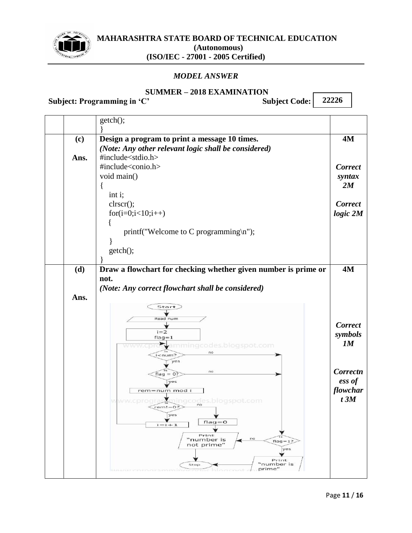

#### *MODEL ANSWER*

# **SUMMER – 2018 EXAMINATION**<br>
C' **Subject Code:**

**Subject: Programming in 'C'** 

**22226**

 $\overline{\phantom{a}}$ 

|      | getch();                                                                      |                |
|------|-------------------------------------------------------------------------------|----------------|
|      |                                                                               |                |
| (c)  | Design a program to print a message 10 times.                                 | <b>4M</b>      |
|      | (Note: Any other relevant logic shall be considered)                          |                |
| Ans. | #include <stdio.h></stdio.h>                                                  |                |
|      | #include <conio.h></conio.h>                                                  | <b>Correct</b> |
|      | void main()                                                                   | syntax         |
|      |                                                                               | 2M             |
|      | int i;                                                                        |                |
|      | clrscr();                                                                     | <b>Correct</b> |
|      | $for(i=0;i<10;i++)$                                                           | $logic\ 2M$    |
|      |                                                                               |                |
|      | printf("Welcome to C programming\n");                                         |                |
|      |                                                                               |                |
|      | getch();                                                                      |                |
|      |                                                                               |                |
| (d)  | Draw a flowchart for checking whether given number is prime or                | <b>4M</b>      |
|      | not.                                                                          |                |
|      | (Note: Any correct flowchart shall be considered)                             |                |
| Ans. |                                                                               |                |
|      | Start                                                                         |                |
|      | Read num                                                                      |                |
|      | $i = 2$                                                                       | <b>Correct</b> |
|      | $flag = 1$                                                                    | symbols<br>1M  |
|      | styammingcodes.blogspot.com<br>NWW.<br>no                                     |                |
|      | $i$ <num?<br>yes</num?<br>                                                    |                |
|      | no                                                                            | Correctn       |
|      | $flag = 0?$<br>yes                                                            | ess of         |
|      | rem=num mod i                                                                 | flowchar       |
|      | WWW.CDro                                                                      | t3M            |
|      | <b>Agingcodes.blogspot.com</b>                                                |                |
|      | yes                                                                           |                |
|      | $flag = 0$<br>$i = i + 1$                                                     |                |
|      | Print<br>no                                                                   |                |
|      | "number is<br>$flag = 1?$<br>not prime"                                       |                |
|      | yes                                                                           |                |
|      | Print<br>"number is<br>Stop                                                   |                |
|      | prime"<br><b><i>LABABAL CRYPS CRYPS PRIMIN</i></b><br>The Turn of the control |                |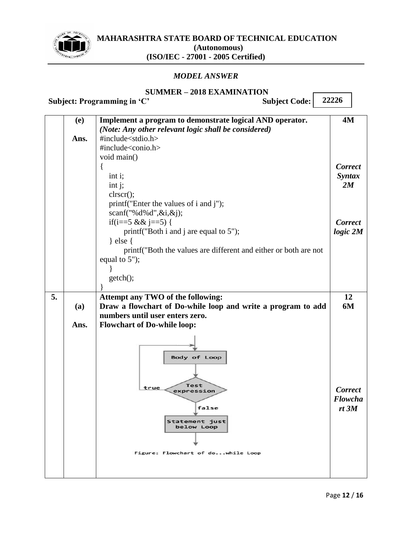

## *MODEL ANSWER*

| SUMMER – 2018 EXAMINATION |  |  |
|---------------------------|--|--|
|                           |  |  |

|                                                     |      | SUMMER – 2018 EXAMINATION                                                                                                                                                                                                                                                                                                                                                                                                                                                                        |                                                                        |
|-----------------------------------------------------|------|--------------------------------------------------------------------------------------------------------------------------------------------------------------------------------------------------------------------------------------------------------------------------------------------------------------------------------------------------------------------------------------------------------------------------------------------------------------------------------------------------|------------------------------------------------------------------------|
| <b>Subject Code:</b><br>Subject: Programming in 'C' |      |                                                                                                                                                                                                                                                                                                                                                                                                                                                                                                  | 22226                                                                  |
|                                                     | (e)  | Implement a program to demonstrate logical AND operator.                                                                                                                                                                                                                                                                                                                                                                                                                                         | <b>4M</b>                                                              |
|                                                     | Ans. | (Note: Any other relevant logic shall be considered)<br>#include <stdio.h><br/>#include<conio.h><br/>void main()<br/>í<br/>int i;<br/>int j;<br/>clrscr();<br/>printf("Enter the values of i and j");<br/>scanf("%d%d",<math>&amp;i,\&amp;j</math>);<br/>if(i==5 &amp;&amp; j==5) {<br/>printf("Both i and j are equal to 5");<br/><math>\}</math> else <math>\{</math><br/>printf ("Both the values are different and either or both are not<br/>equal to 5");<br/>getch();</conio.h></stdio.h> | <b>Correct</b><br><i>Syntax</i><br>2M<br><b>Correct</b><br>$logic\ 2M$ |
| 5.                                                  |      | Attempt any TWO of the following:                                                                                                                                                                                                                                                                                                                                                                                                                                                                | 12                                                                     |
|                                                     | (a)  | Draw a flowchart of Do-while loop and write a program to add<br>numbers until user enters zero.                                                                                                                                                                                                                                                                                                                                                                                                  | 6M                                                                     |
|                                                     | Ans. | <b>Flowchart of Do-while loop:</b>                                                                                                                                                                                                                                                                                                                                                                                                                                                               |                                                                        |
|                                                     |      | <b>Body of Loop</b><br>Test<br>true<br>expression<br>false<br>Statement just<br>below Loop<br>Figure: Flowchart of dowhile Loop                                                                                                                                                                                                                                                                                                                                                                  | <b>Correct</b><br><b>Flowcha</b><br>$rt$ $3M$                          |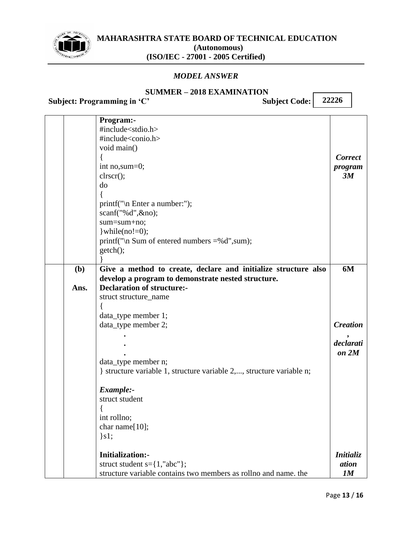

## *MODEL ANSWER*

# **SUMMER – 2018 EXAMINATION**

**Subject: Programming in 'C'** 

|      | Program:-                                                            |                  |
|------|----------------------------------------------------------------------|------------------|
|      | #include <stdio.h></stdio.h>                                         |                  |
|      | #include <conio.h></conio.h>                                         |                  |
|      | void main()                                                          |                  |
|      |                                                                      | <b>Correct</b>   |
|      | int no, sum=0;                                                       | program          |
|      | clrscr();                                                            | 3M               |
|      | do                                                                   |                  |
|      |                                                                      |                  |
|      | printf("\n Enter a number:");                                        |                  |
|      | scanf("%d", &no);                                                    |                  |
|      | sum=sum+no;                                                          |                  |
|      | $\text{while}(\text{no}!=0);$                                        |                  |
|      | printf("\n Sum of entered numbers $=\% d$ ",sum);                    |                  |
|      | getch();                                                             |                  |
|      |                                                                      |                  |
| (b)  | Give a method to create, declare and initialize structure also       | 6M               |
|      | develop a program to demonstrate nested structure.                   |                  |
| Ans. | <b>Declaration of structure:-</b>                                    |                  |
|      | struct structure_name                                                |                  |
|      |                                                                      |                  |
|      | data_type member 1;                                                  |                  |
|      | data_type member 2;                                                  | <b>Creation</b>  |
|      |                                                                      |                  |
|      |                                                                      | declarati        |
|      |                                                                      | on 2M            |
|      | data_type member n;                                                  |                  |
|      | } structure variable 1, structure variable 2,, structure variable n; |                  |
|      |                                                                      |                  |
|      | Example:-                                                            |                  |
|      | struct student                                                       |                  |
|      |                                                                      |                  |
|      | int rollno;                                                          |                  |
|      | char name[10];                                                       |                  |
|      | $\}$ s1;                                                             |                  |
|      |                                                                      |                  |
|      | <b>Initialization:-</b>                                              | <b>Initializ</b> |
|      | struct student $s = \{1, "abc"\};$                                   | ation            |
|      | structure variable contains two members as rollno and name, the      | 1M               |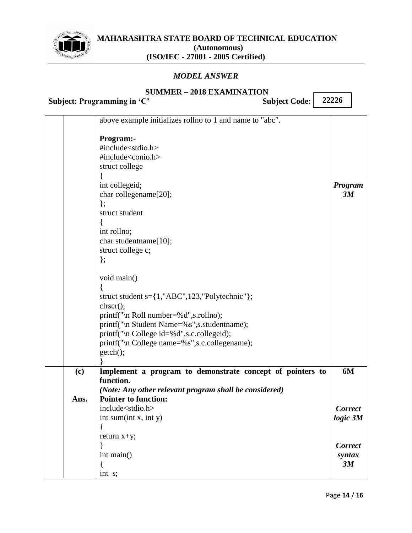

#### *MODEL ANSWER*

**SUMMER – 2018 EXAMINATION**

**Subject: Programming in 'C'** Subject Code:

above example initializes rollno to 1 and name to "abc". **Program:-** #include<stdio.h> #include<conio.h> struct college { int collegeid; char collegename[20]; }; struct student { int rollno; char studentname[10]; struct college c; }; void main() { struct student s={1,"ABC",123,"Polytechnic"}; clrscr(); printf("\n Roll number=%d",s.rollno); printf("\n Student Name=%s",s.studentname); printf("\n College id=%d",s.c.collegeid); printf("\n College name=%s",s.c.collegename); getch(); } *Program 3M* **(c) Ans. Implement a program to demonstrate concept of pointers to function.** *(Note: Any other relevant program shall be considered)* **Pointer to function:** include<stdio.h> int sum(int x, int y) { return x+y; } int main() { int s; **6M** *Correct logic 3M Correct syntax 3M*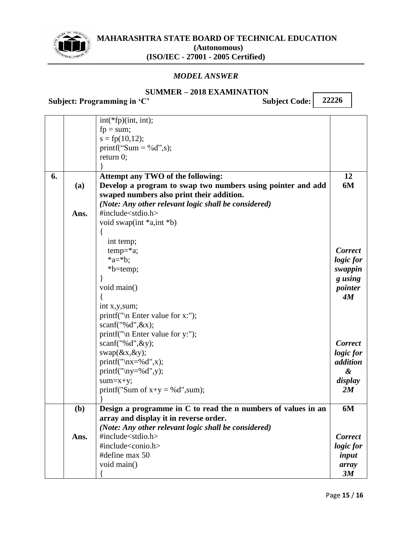

## *MODEL ANSWER*

# **SUMMER – 2018 EXAMINATION**

**Subject: Programming in 'C'** 

|    |      | $int(*fp)(int, int);$                                         |                |
|----|------|---------------------------------------------------------------|----------------|
|    |      | $fp = sum;$                                                   |                |
|    |      | $s = fp(10, 12);$                                             |                |
|    |      | printf("Sum = %d", s);                                        |                |
|    |      | return $0$ ;                                                  |                |
|    |      |                                                               |                |
| 6. |      | Attempt any TWO of the following:                             | 12             |
|    | (a)  | Develop a program to swap two numbers using pointer and add   | 6M             |
|    |      | swaped numbers also print their addition.                     |                |
|    |      | (Note: Any other relevant logic shall be considered)          |                |
|    | Ans. | #include $<$ stdio.h $>$                                      |                |
|    |      | void swap(int *a,int *b)                                      |                |
|    |      |                                                               |                |
|    |      |                                                               |                |
|    |      | int temp;                                                     |                |
|    |      | $temp="a;$                                                    | <b>Correct</b> |
|    |      | $*a=*b$ :                                                     | logic for      |
|    |      | $*$ b=temp;                                                   | swappin        |
|    |      |                                                               | g using        |
|    |      | void main()                                                   | pointer        |
|    |      |                                                               | 4M             |
|    |      | int x,y, sum;                                                 |                |
|    |      | printf("\n Enter value for x:");                              |                |
|    |      | scanf("%d", $&x$ );                                           |                |
|    |      | printf("\n Enter value for y:");                              |                |
|    |      | scanf("%d", $&$ y);                                           | <b>Correct</b> |
|    |      | swap $(\&x,\&y);$                                             | logic for      |
|    |      | $printf("nx=%d",x);$                                          | addition       |
|    |      | $print('\\ny=%d",y);$                                         | &              |
|    |      | $sum=x+y;$                                                    | display        |
|    |      | printf("Sum of $x+y = %d"$ , sum);                            | 2M             |
|    |      |                                                               |                |
|    | (b)  | Design a programme in C to read the n numbers of values in an | 6M             |
|    |      | array and display it in reverse order.                        |                |
|    |      | (Note: Any other relevant logic shall be considered)          |                |
|    | Ans. | #include <stdio.h></stdio.h>                                  | <b>Correct</b> |
|    |      | #include <conio.h></conio.h>                                  | logic for      |
|    |      | #define max 50                                                | input          |
|    |      | void main()                                                   | array          |
|    |      |                                                               | 3M             |